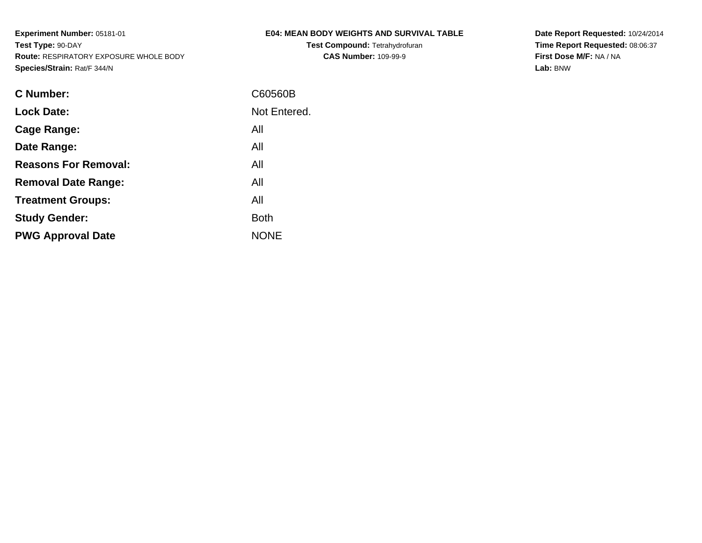**Test Compound:** Tetrahydrofuran**CAS Number:** 109-99-9

**Date Report Requested:** 10/24/2014 **Time Report Requested:** 08:06:37**First Dose M/F:** NA / NA**Lab:** BNW

| <b>C</b> Number:            | C60560B      |
|-----------------------------|--------------|
| <b>Lock Date:</b>           | Not Entered. |
| Cage Range:                 | All          |
| Date Range:                 | All          |
| <b>Reasons For Removal:</b> | All          |
| <b>Removal Date Range:</b>  | All          |
| <b>Treatment Groups:</b>    | All          |
| <b>Study Gender:</b>        | <b>Both</b>  |
| <b>PWG Approval Date</b>    | <b>NONE</b>  |
|                             |              |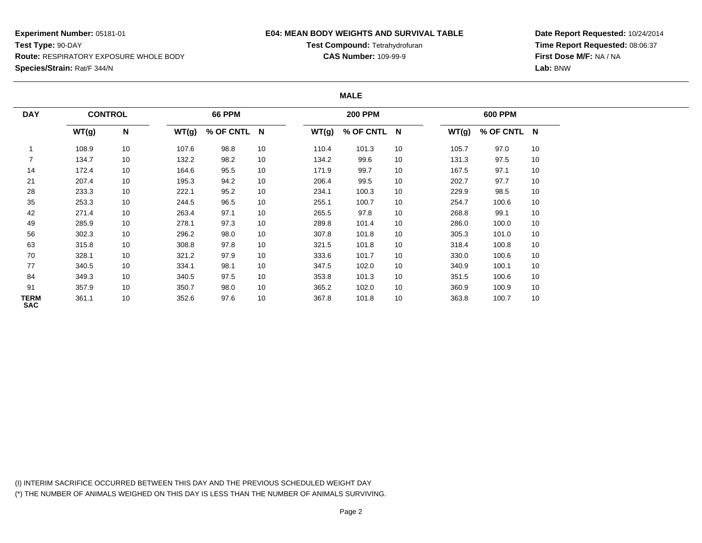### **E04: MEAN BODY WEIGHTS AND SURVIVAL TABLE**

**Test Compound:** Tetrahydrofuran**CAS Number:** 109-99-9

**Date Report Requested:** 10/24/2014**Time Report Requested:** 08:06:37**First Dose M/F:** NA / NA**Lab:** BNW

#### **MALE**

| <b>DAY</b>         | <b>CONTROL</b> |           |       | <b>66 PPM</b> |    |       | <b>200 PPM</b> |    |       | <b>600 PPM</b> |    |
|--------------------|----------------|-----------|-------|---------------|----|-------|----------------|----|-------|----------------|----|
|                    | WT(g)          | ${\sf N}$ | WT(g) | % OF CNTL N   |    | WT(g) | % OF CNTL N    |    | WT(g) | % OF CNTL N    |    |
|                    | 108.9          | 10        | 107.6 | 98.8          | 10 | 110.4 | 101.3          | 10 | 105.7 | 97.0           | 10 |
|                    | 134.7          | 10        | 132.2 | 98.2          | 10 | 134.2 | 99.6           | 10 | 131.3 | 97.5           | 10 |
| 14                 | 172.4          | 10        | 164.6 | 95.5          | 10 | 171.9 | 99.7           | 10 | 167.5 | 97.1           | 10 |
| 21                 | 207.4          | 10        | 195.3 | 94.2          | 10 | 206.4 | 99.5           | 10 | 202.7 | 97.7           | 10 |
| 28                 | 233.3          | 10        | 222.1 | 95.2          | 10 | 234.1 | 100.3          | 10 | 229.9 | 98.5           | 10 |
| 35                 | 253.3          | 10        | 244.5 | 96.5          | 10 | 255.1 | 100.7          | 10 | 254.7 | 100.6          | 10 |
| 42                 | 271.4          | 10        | 263.4 | 97.1          | 10 | 265.5 | 97.8           | 10 | 268.8 | 99.1           | 10 |
| 49                 | 285.9          | 10        | 278.1 | 97.3          | 10 | 289.8 | 101.4          | 10 | 286.0 | 100.0          | 10 |
| 56                 | 302.3          | 10        | 296.2 | 98.0          | 10 | 307.8 | 101.8          | 10 | 305.3 | 101.0          | 10 |
| 63                 | 315.8          | 10        | 308.8 | 97.8          | 10 | 321.5 | 101.8          | 10 | 318.4 | 100.8          | 10 |
| 70                 | 328.1          | 10        | 321.2 | 97.9          | 10 | 333.6 | 101.7          | 10 | 330.0 | 100.6          | 10 |
| 77                 | 340.5          | 10        | 334.1 | 98.1          | 10 | 347.5 | 102.0          | 10 | 340.9 | 100.1          | 10 |
| 84                 | 349.3          | 10        | 340.5 | 97.5          | 10 | 353.8 | 101.3          | 10 | 351.5 | 100.6          | 10 |
| 91                 | 357.9          | 10        | 350.7 | 98.0          | 10 | 365.2 | 102.0          | 10 | 360.9 | 100.9          | 10 |
| TERM<br><b>SAC</b> | 361.1          | 10        | 352.6 | 97.6          | 10 | 367.8 | 101.8          | 10 | 363.8 | 100.7          | 10 |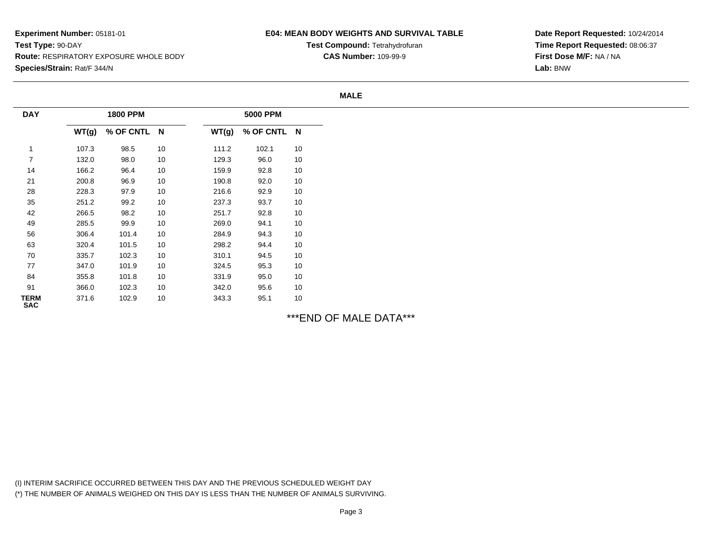## **E04: MEAN BODY WEIGHTS AND SURVIVAL TABLE**

**Test Compound:** Tetrahydrofuran**CAS Number:** 109-99-9

**Date Report Requested:** 10/24/2014**Time Report Requested:** 08:06:37**First Dose M/F:** NA / NA**Lab:** BNW

#### **MALE**

| <b>DAY</b>                |       | <b>1800 PPM</b> |    |       | <b>5000 PPM</b> |        |
|---------------------------|-------|-----------------|----|-------|-----------------|--------|
|                           | WT(g) | % OF CNTL N     |    | WT(g) | % OF CNTL N     |        |
| $\mathbf{1}$              | 107.3 | 98.5            | 10 | 111.2 | 102.1           | 10     |
| 7                         | 132.0 | 98.0            | 10 | 129.3 | 96.0            | $10\,$ |
| 14                        | 166.2 | 96.4            | 10 | 159.9 | 92.8            | 10     |
| 21                        | 200.8 | 96.9            | 10 | 190.8 | 92.0            | 10     |
| 28                        | 228.3 | 97.9            | 10 | 216.6 | 92.9            | $10\,$ |
| $35\,$                    | 251.2 | 99.2            | 10 | 237.3 | 93.7            | 10     |
| 42                        | 266.5 | 98.2            | 10 | 251.7 | 92.8            | $10\,$ |
| 49                        | 285.5 | 99.9            | 10 | 269.0 | 94.1            | 10     |
| 56                        | 306.4 | 101.4           | 10 | 284.9 | 94.3            | 10     |
| 63                        | 320.4 | 101.5           | 10 | 298.2 | 94.4            | 10     |
| 70                        | 335.7 | 102.3           | 10 | 310.1 | 94.5            | $10\,$ |
| 77                        | 347.0 | 101.9           | 10 | 324.5 | 95.3            | $10\,$ |
| 84                        | 355.8 | 101.8           | 10 | 331.9 | 95.0            | 10     |
| 91                        | 366.0 | 102.3           | 10 | 342.0 | 95.6            | 10     |
| <b>TERM</b><br><b>SAC</b> | 371.6 | 102.9           | 10 | 343.3 | 95.1            | $10\,$ |

\*\*\*END OF MALE DATA\*\*\*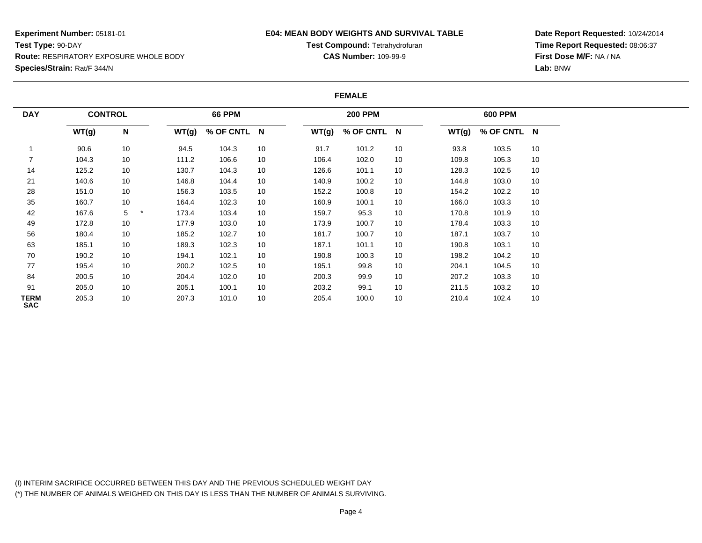### **E04: MEAN BODY WEIGHTS AND SURVIVAL TABLE**

**Test Compound:** Tetrahydrofuran**CAS Number:** 109-99-9

**Date Report Requested:** 10/24/2014**Time Report Requested:** 08:06:37**First Dose M/F:** NA / NA**Lab:** BNW

#### **FEMALE**

| <b>DAY</b>                | <b>CONTROL</b> |    |       | <b>66 PPM</b> |    |       | <b>200 PPM</b> |    |       | <b>600 PPM</b> |    |
|---------------------------|----------------|----|-------|---------------|----|-------|----------------|----|-------|----------------|----|
|                           | WT(g)          | N  | WT(g) | % OF CNTL N   |    | WT(g) | % OF CNTL N    |    | WT(g) | % OF CNTL N    |    |
|                           | 90.6           | 10 | 94.5  | 104.3         | 10 | 91.7  | 101.2          | 10 | 93.8  | 103.5          | 10 |
|                           | 104.3          | 10 | 111.2 | 106.6         | 10 | 106.4 | 102.0          | 10 | 109.8 | 105.3          | 10 |
| 14                        | 125.2          | 10 | 130.7 | 104.3         | 10 | 126.6 | 101.1          | 10 | 128.3 | 102.5          | 10 |
| 21                        | 140.6          | 10 | 146.8 | 104.4         | 10 | 140.9 | 100.2          | 10 | 144.8 | 103.0          | 10 |
| 28                        | 151.0          | 10 | 156.3 | 103.5         | 10 | 152.2 | 100.8          | 10 | 154.2 | 102.2          | 10 |
| 35                        | 160.7          | 10 | 164.4 | 102.3         | 10 | 160.9 | 100.1          | 10 | 166.0 | 103.3          | 10 |
| 42                        | 167.6          | 5  | 173.4 | 103.4         | 10 | 159.7 | 95.3           | 10 | 170.8 | 101.9          | 10 |
| 49                        | 172.8          | 10 | 177.9 | 103.0         | 10 | 173.9 | 100.7          | 10 | 178.4 | 103.3          | 10 |
| 56                        | 180.4          | 10 | 185.2 | 102.7         | 10 | 181.7 | 100.7          | 10 | 187.1 | 103.7          | 10 |
| 63                        | 185.1          | 10 | 189.3 | 102.3         | 10 | 187.1 | 101.1          | 10 | 190.8 | 103.1          | 10 |
| 70                        | 190.2          | 10 | 194.1 | 102.1         | 10 | 190.8 | 100.3          | 10 | 198.2 | 104.2          | 10 |
| 77                        | 195.4          | 10 | 200.2 | 102.5         | 10 | 195.1 | 99.8           | 10 | 204.1 | 104.5          | 10 |
| 84                        | 200.5          | 10 | 204.4 | 102.0         | 10 | 200.3 | 99.9           | 10 | 207.2 | 103.3          | 10 |
| 91                        | 205.0          | 10 | 205.1 | 100.1         | 10 | 203.2 | 99.1           | 10 | 211.5 | 103.2          | 10 |
| <b>TERM</b><br><b>SAC</b> | 205.3          | 10 | 207.3 | 101.0         | 10 | 205.4 | 100.0          | 10 | 210.4 | 102.4          | 10 |